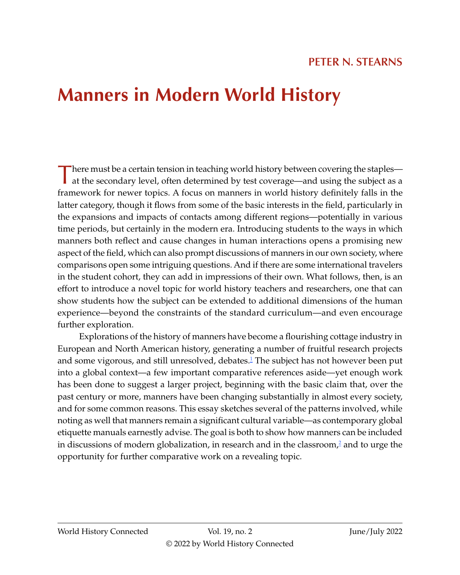# <span id="page-0-0"></span>**Manners in Modern World History**

There must be a certain tension in teaching world history between covering the staples—at the secondary level, often determined by test coverage—and using the subject as a framework for newer topics. A focus on manners in world history definitely falls in the latter category, though it flows from some of the basic interests in the field, particularly in the expansions and impacts of contacts among different regions—potentially in various time periods, but certainly in the modern era. Introducing students to the ways in which manners both reflect and cause changes in human interactions opens a promising new aspect of the field, which can also prompt discussions of manners in our own society, where comparisons open some intriguing questions. And if there are some international travelers in the student cohort, they can add in impressions of their own. What follows, then, is an effort to introduce a novel topic for world history teachers and researchers, one that can show students how the subject can be extended to additional dimensions of the human experience—beyond the constraints of the standard curriculum—and even encourage further exploration.

Explorations of the history of manners have become a flourishing cottage industry in European and North American history, generating a number of fruitful research projects and some vigorous, and still unresolved, debates.<sup>1</sup> The subject has not however been put into a global context—a few important comparative references aside—yet enough work has been done to suggest a larger project, beginning with the basic claim that, over the past century or more, manners have been changing substantially in almost every society, and for some common reasons. This essay sketches several of the patterns involved, while noting as well that manners remain a significant cultural variable—as contemporary global etiquette manuals earnestly advise. The goal is both to show how manners can be included in discussions of modern globalization, in research and in the classroom,<sup>2</sup> and to urge the opportunity for further comparative work on a revealing topic.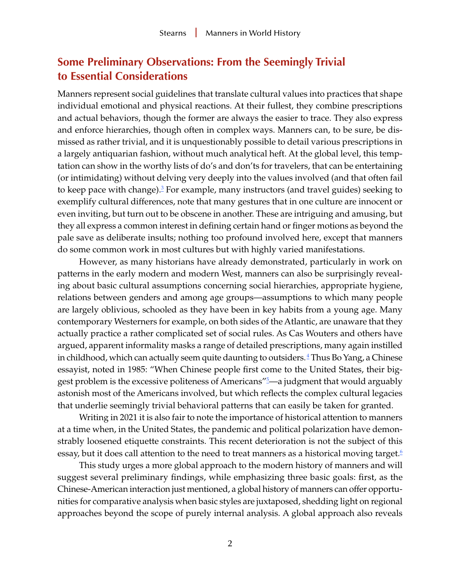# <span id="page-1-0"></span>**Some Preliminary Observations: From the Seemingly Trivial to Essential Considerations**

Manners represent social guidelines that translate cultural values into practices that shape individual emotional and physical reactions. At their fullest, they combine prescriptions and actual behaviors, though the former are always the easier to trace. They also express and enforce hierarchies, though often in complex ways. Manners can, to be sure, be dismissed as rather trivial, and it is unquestionably possible to detail various prescriptions in a largely antiquarian fashion, without much analytical heft. At the global level, this temptation can show in the worthy lists of do's and don'ts for travelers, that can be entertaining (or intimidating) without delving very deeply into the values involved (and that often fail to keep pace with change).<sup>[3](#page-23-0)</sup> For example, many instructors (and travel guides) seeking to exemplify cultural differences, note that many gestures that in one culture are innocent or even inviting, but turn out to be obscene in another. These are intriguing and amusing, but they all express a common interest in defining certain hand or finger motions as beyond the pale save as deliberate insults; nothing too profound involved here, except that manners do some common work in most cultures but with highly varied manifestations.

However, as many historians have already demonstrated, particularly in work on patterns in the early modern and modern West, manners can also be surprisingly revealing about basic cultural assumptions concerning social hierarchies, appropriate hygiene, relations between genders and among age groups—assumptions to which many people are largely oblivious, schooled as they have been in key habits from a young age. Many contemporary Westerners for example, on both sides of the Atlantic, are unaware that they actually practice a rather complicated set of social rules. As Cas Wouters and others have argued, apparent informality masks a range of detailed prescriptions, many again instilled in childhood, which can actually seem quite daunting to outsiders.<sup>[4](#page-23-0)</sup> Thus Bo Yang, a Chinese essayist, noted in 1985: "When Chinese people first come to the United States, their biggest problem is the excessive politeness of Americans"[5](#page-23-0) —a judgment that would arguably astonish most of the Americans involved, but which reflects the complex cultural legacies that underlie seemingly trivial behavioral patterns that can easily be taken for granted.

Writing in 2021 it is also fair to note the importance of historical attention to manners at a time when, in the United States, the pandemic and political polarization have demonstrably loosened etiquette constraints. This recent deterioration is not the subject of this essay, but it does call attention to the need to treat manners as a historical moving target. $6$ 

This study urges a more global approach to the modern history of manners and will suggest several preliminary findings, while emphasizing three basic goals: first, as the Chinese-American interaction just mentioned, a global history of manners can offer opportunities for comparative analysis when basic styles are juxtaposed, shedding light on regional approaches beyond the scope of purely internal analysis. A global approach also reveals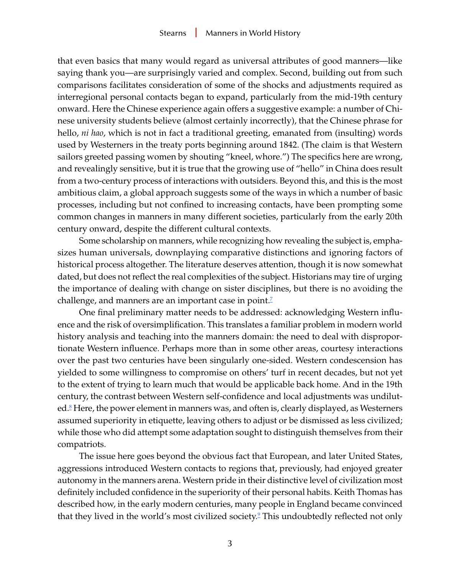<span id="page-2-0"></span>that even basics that many would regard as universal attributes of good manners—like saying thank you—are surprisingly varied and complex. Second, building out from such comparisons facilitates consideration of some of the shocks and adjustments required as interregional personal contacts began to expand, particularly from the mid-19th century onward. Here the Chinese experience again offers a suggestive example: a number of Chinese university students believe (almost certainly incorrectly), that the Chinese phrase for hello, *ni hao*, which is not in fact a traditional greeting, emanated from (insulting) words used by Westerners in the treaty ports beginning around 1842. (The claim is that Western sailors greeted passing women by shouting "kneel, whore.") The specifics here are wrong, and revealingly sensitive, but it is true that the growing use of "hello" in China does result from a two-century process of interactions with outsiders. Beyond this, and this is the most ambitious claim, a global approach suggests some of the ways in which a number of basic processes, including but not confined to increasing contacts, have been prompting some common changes in manners in many different societies, particularly from the early 20th century onward, despite the different cultural contexts.

Some scholarship on manners, while recognizing how revealing the subject is, emphasizes human universals, downplaying comparative distinctions and ignoring factors of historical process altogether. The literature deserves attention, though it is now somewhat dated, but does not reflect the real complexities of the subject. Historians may tire of urging the importance of dealing with change on sister disciplines, but there is no avoiding the challenge, and manners are an important case in point.<sup>7</sup>

One final preliminary matter needs to be addressed: acknowledging Western influence and the risk of oversimplification. This translates a familiar problem in modern world history analysis and teaching into the manners domain: the need to deal with disproportionate Western influence. Perhaps more than in some other areas, courtesy interactions over the past two centuries have been singularly one-sided. Western condescension has yielded to some willingness to compromise on others' turf in recent decades, but not yet to the extent of trying to learn much that would be applicable back home. And in the 19th century, the contrast between Western self-confidence and local adjustments was undilut-ed.<sup>[8](#page-23-0)</sup> Here, the power element in manners was, and often is, clearly displayed, as Westerners assumed superiority in etiquette, leaving others to adjust or be dismissed as less civilized; while those who did attempt some adaptation sought to distinguish themselves from their compatriots.

The issue here goes beyond the obvious fact that European, and later United States, aggressions introduced Western contacts to regions that, previously, had enjoyed greater autonomy in the manners arena. Western pride in their distinctive level of civilization most definitely included confidence in the superiority of their personal habits. Keith Thomas has described how, in the early modern centuries, many people in England became convinced that they lived in the world's most civilized society.<sup>[9](#page-23-0)</sup> This undoubtedly reflected not only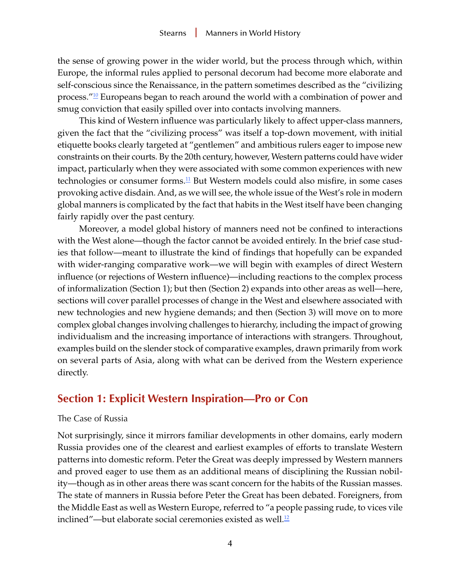<span id="page-3-0"></span>the sense of growing power in the wider world, but the process through which, within Europe, the informal rules applied to personal decorum had become more elaborate and self-conscious since the Renaissance, in the pattern sometimes described as the "civilizing process." $\frac{10}{2}$  Europeans began to reach around the world with a combination of power and smug conviction that easily spilled over into contacts involving manners.

This kind of Western influence was particularly likely to affect upper-class manners, given the fact that the "civilizing process" was itself a top-down movement, with initial etiquette books clearly targeted at "gentlemen" and ambitious rulers eager to impose new constraints on their courts. By the 20th century, however, Western patterns could have wider impact, particularly when they were associated with some common experiences with new technologies or consumer forms.<sup>11</sup> But Western models could also misfire, in some cases provoking active disdain. And, as we will see, the whole issue of the West's role in modern global manners is complicated by the fact that habits in the West itself have been changing fairly rapidly over the past century.

Moreover, a model global history of manners need not be confined to interactions with the West alone—though the factor cannot be avoided entirely. In the brief case studies that follow—meant to illustrate the kind of findings that hopefully can be expanded with wider-ranging comparative work—we will begin with examples of direct Western influence (or rejections of Western influence)—including reactions to the complex process of informalization (Section 1); but then (Section 2) expands into other areas as well—here, sections will cover parallel processes of change in the West and elsewhere associated with new technologies and new hygiene demands; and then (Section 3) will move on to more complex global changes involving challenges to hierarchy, including the impact of growing individualism and the increasing importance of interactions with strangers. Throughout, examples build on the slender stock of comparative examples, drawn primarily from work on several parts of Asia, along with what can be derived from the Western experience directly.

# **Section 1: Explicit Western Inspiration—Pro or Con**

## The Case of Russia

Not surprisingly, since it mirrors familiar developments in other domains, early modern Russia provides one of the clearest and earliest examples of efforts to translate Western patterns into domestic reform. Peter the Great was deeply impressed by Western manners and proved eager to use them as an additional means of disciplining the Russian nobility—though as in other areas there was scant concern for the habits of the Russian masses. The state of manners in Russia before Peter the Great has been debated. Foreigners, from the Middle East as well as Western Europe, referred to "a people passing rude, to vices vile inclined"—but elaborate social ceremonies existed as well.<sup>[12](#page-23-0)</sup>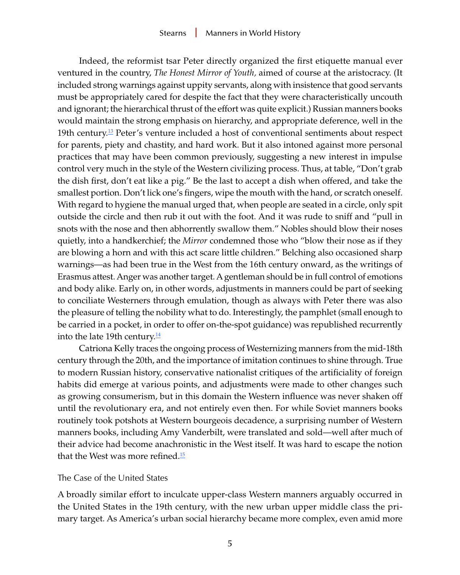<span id="page-4-0"></span>Indeed, the reformist tsar Peter directly organized the first etiquette manual ever ventured in the country, *The Honest Mirror of Youth,* aimed of course at the aristocracy. (It included strong warnings against uppity servants, along with insistence that good servants must be appropriately cared for despite the fact that they were characteristically uncouth and ignorant; the hierarchical thrust of the effort was quite explicit.) Russian manners books would maintain the strong emphasis on hierarchy, and appropriate deference, well in the 19th century.<sup>13</sup> Peter's venture included a host of conventional sentiments about respect for parents, piety and chastity, and hard work. But it also intoned against more personal practices that may have been common previously, suggesting a new interest in impulse control very much in the style of the Western civilizing process. Thus, at table, "Don't grab the dish first, don't eat like a pig." Be the last to accept a dish when offered, and take the smallest portion. Don't lick one's fingers, wipe the mouth with the hand, or scratch oneself. With regard to hygiene the manual urged that, when people are seated in a circle, only spit outside the circle and then rub it out with the foot. And it was rude to sniff and "pull in snots with the nose and then abhorrently swallow them." Nobles should blow their noses quietly, into a handkerchief; the *Mirror* condemned those who "blow their nose as if they are blowing a horn and with this act scare little children." Belching also occasioned sharp warnings—as had been true in the West from the 16th century onward, as the writings of Erasmus attest. Anger was another target. A gentleman should be in full control of emotions and body alike. Early on, in other words, adjustments in manners could be part of seeking to conciliate Westerners through emulation, though as always with Peter there was also the pleasure of telling the nobility what to do. Interestingly, the pamphlet (small enough to be carried in a pocket, in order to offer on-the-spot guidance) was republished recurrently into the late 19th century. $\frac{14}{1}$  $\frac{14}{1}$  $\frac{14}{1}$ 

Catriona Kelly traces the ongoing process of Westernizing manners from the mid-18th century through the 20th, and the importance of imitation continues to shine through. True to modern Russian history, conservative nationalist critiques of the artificiality of foreign habits did emerge at various points, and adjustments were made to other changes such as growing consumerism, but in this domain the Western influence was never shaken off until the revolutionary era, and not entirely even then. For while Soviet manners books routinely took potshots at Western bourgeois decadence, a surprising number of Western manners books, including Amy Vanderbilt, were translated and sold—well after much of their advice had become anachronistic in the West itself. It was hard to escape the notion that the West was more refined.<sup>15</sup>

## The Case of the United States

A broadly similar effort to inculcate upper-class Western manners arguably occurred in the United States in the 19th century, with the new urban upper middle class the primary target. As America's urban social hierarchy became more complex, even amid more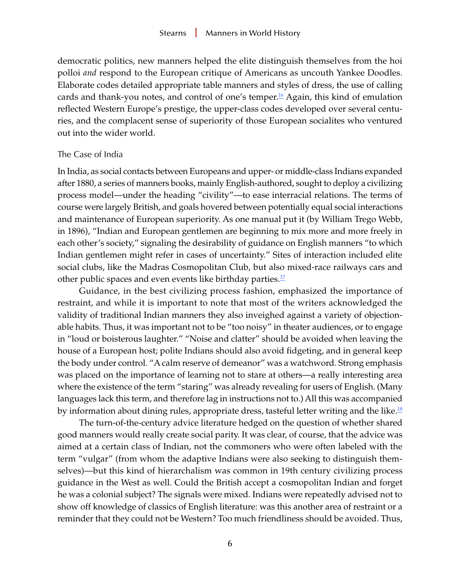<span id="page-5-0"></span>democratic politics, new manners helped the elite distinguish themselves from the hoi polloi *and* respond to the European critique of Americans as uncouth Yankee Doodles. Elaborate codes detailed appropriate table manners and styles of dress, the use of calling cards and thank-you notes, and control of one's temper.<sup>16</sup> Again, this kind of emulation reflected Western Europe's prestige, the upper-class codes developed over several centuries, and the complacent sense of superiority of those European socialites who ventured out into the wider world.

## The Case of India

In India, as social contacts between Europeans and upper- or middle-class Indians expanded after 1880, a series of manners books, mainly English-authored, sought to deploy a civilizing process model—under the heading "civility"—to ease interracial relations. The terms of course were largely British, and goals hovered between potentially equal social interactions and maintenance of European superiority. As one manual put it (by William Trego Webb, in 1896), "Indian and European gentlemen are beginning to mix more and more freely in each other's society," signaling the desirability of guidance on English manners "to which Indian gentlemen might refer in cases of uncertainty." Sites of interaction included elite social clubs, like the Madras Cosmopolitan Club, but also mixed-race railways cars and other public spaces and even events like birthday parties. $\frac{17}{16}$  $\frac{17}{16}$  $\frac{17}{16}$ 

Guidance, in the best civilizing process fashion, emphasized the importance of restraint, and while it is important to note that most of the writers acknowledged the validity of traditional Indian manners they also inveighed against a variety of objectionable habits. Thus, it was important not to be "too noisy" in theater audiences, or to engage in "loud or boisterous laughter." "Noise and clatter" should be avoided when leaving the house of a European host; polite Indians should also avoid fidgeting, and in general keep the body under control. "A calm reserve of demeanor" was a watchword. Strong emphasis was placed on the importance of learning not to stare at others—a really interesting area where the existence of the term "staring" was already revealing for users of English. (Many languages lack this term, and therefore lag in instructions not to.) All this was accompanied by information about dining rules, appropriate dress, tasteful letter writing and the like.<sup>[18](#page-24-0)</sup>

The turn-of-the-century advice literature hedged on the question of whether shared good manners would really create social parity. It was clear, of course, that the advice was aimed at a certain class of Indian, not the commoners who were often labeled with the term "vulgar" (from whom the adaptive Indians were also seeking to distinguish themselves)—but this kind of hierarchalism was common in 19th century civilizing process guidance in the West as well. Could the British accept a cosmopolitan Indian and forget he was a colonial subject? The signals were mixed. Indians were repeatedly advised not to show off knowledge of classics of English literature: was this another area of restraint or a reminder that they could not be Western? Too much friendliness should be avoided. Thus,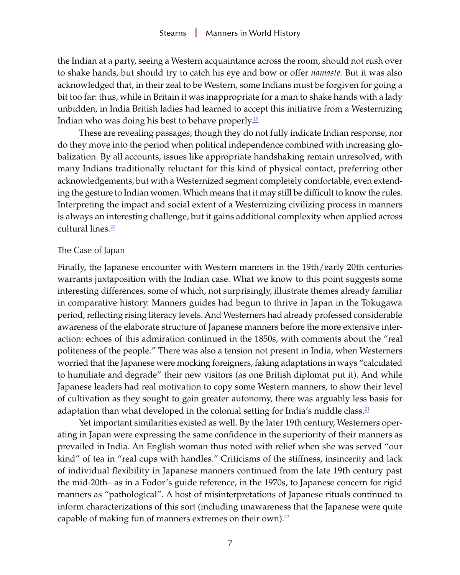<span id="page-6-0"></span>the Indian at a party, seeing a Western acquaintance across the room, should not rush over to shake hands, but should try to catch his eye and bow or offer *namaste.* But it was also acknowledged that, in their zeal to be Western, some Indians must be forgiven for going a bit too far: thus, while in Britain it was inappropriate for a man to shake hands with a lady unbidden, in India British ladies had learned to accept this initiative from a Westernizing Indian who was doing his best to behave properly.<sup>19</sup>

These are revealing passages, though they do not fully indicate Indian response, nor do they move into the period when political independence combined with increasing globalization. By all accounts, issues like appropriate handshaking remain unresolved, with many Indians traditionally reluctant for this kind of physical contact, preferring other acknowledgements, but with a Westernized segment completely comfortable, even extending the gesture to Indian women. Which means that it may still be difficult to know the rules. Interpreting the impact and social extent of a Westernizing civilizing process in manners is always an interesting challenge, but it gains additional complexity when applied across cultural lines.<sup>20</sup>

## The Case of Japan

Finally, the Japanese encounter with Western manners in the 19th/early 20th centuries warrants juxtaposition with the Indian case. What we know to this point suggests some interesting differences, some of which, not surprisingly, illustrate themes already familiar in comparative history. Manners guides had begun to thrive in Japan in the Tokugawa period, reflecting rising literacy levels. And Westerners had already professed considerable awareness of the elaborate structure of Japanese manners before the more extensive interaction: echoes of this admiration continued in the 1850s, with comments about the "real politeness of the people." There was also a tension not present in India, when Westerners worried that the Japanese were mocking foreigners, faking adaptations in ways "calculated to humiliate and degrade" their new visitors (as one British diplomat put it). And while Japanese leaders had real motivation to copy some Western manners, to show their level of cultivation as they sought to gain greater autonomy, there was arguably less basis for adaptation than what developed in the colonial setting for India's middle class.<sup>[21](#page-24-0)</sup>

Yet important similarities existed as well. By the later 19th century, Westerners operating in Japan were expressing the same confidence in the superiority of their manners as prevailed in India. An English woman thus noted with relief when she was served "our kind" of tea in "real cups with handles." Criticisms of the stiffness, insincerity and lack of individual flexibility in Japanese manners continued from the late 19th century past the mid-20th– as in a Fodor's guide reference, in the 1970s, to Japanese concern for rigid manners as "pathological". A host of misinterpretations of Japanese rituals continued to inform characterizations of this sort (including unawareness that the Japanese were quite capable of making fun of manners extremes on their own). $\frac{22}{5}$  $\frac{22}{5}$  $\frac{22}{5}$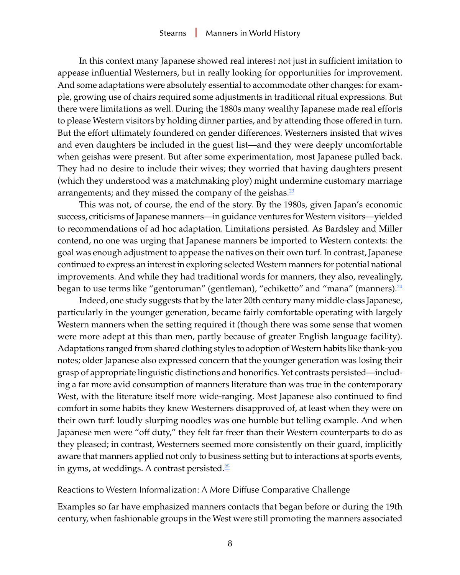<span id="page-7-0"></span>In this context many Japanese showed real interest not just in sufficient imitation to appease influential Westerners, but in really looking for opportunities for improvement. And some adaptations were absolutely essential to accommodate other changes: for example, growing use of chairs required some adjustments in traditional ritual expressions. But there were limitations as well. During the 1880s many wealthy Japanese made real efforts to please Western visitors by holding dinner parties, and by attending those offered in turn. But the effort ultimately foundered on gender differences. Westerners insisted that wives and even daughters be included in the guest list—and they were deeply uncomfortable when geishas were present. But after some experimentation, most Japanese pulled back. They had no desire to include their wives; they worried that having daughters present (which they understood was a matchmaking ploy) might undermine customary marriage arrangements; and they missed the company of the geishas. $23$ 

This was not, of course, the end of the story. By the 1980s, given Japan's economic success, criticisms of Japanese manners—in guidance ventures for Western visitors—yielded to recommendations of ad hoc adaptation. Limitations persisted. As Bardsley and Miller contend, no one was urging that Japanese manners be imported to Western contexts: the goal was enough adjustment to appease the natives on their own turf. In contrast, Japanese continued to express an interest in exploring selected Western manners for potential national improvements. And while they had traditional words for manners, they also, revealingly, began to use terms like "gentoruman" (gentleman), "echiketto" and "mana" (manners).<sup>24</sup>

Indeed, one study suggests that by the later 20th century many middle-class Japanese, particularly in the younger generation, became fairly comfortable operating with largely Western manners when the setting required it (though there was some sense that women were more adept at this than men, partly because of greater English language facility). Adaptations ranged from shared clothing styles to adoption of Western habits like thank-you notes; older Japanese also expressed concern that the younger generation was losing their grasp of appropriate linguistic distinctions and honorifics. Yet contrasts persisted—including a far more avid consumption of manners literature than was true in the contemporary West, with the literature itself more wide-ranging. Most Japanese also continued to find comfort in some habits they knew Westerners disapproved of, at least when they were on their own turf: loudly slurping noodles was one humble but telling example. And when Japanese men were "off duty," they felt far freer than their Western counterparts to do as they pleased; in contrast, Westerners seemed more consistently on their guard, implicitly aware that manners applied not only to business setting but to interactions at sports events, in gyms, at weddings. A contrast persisted. $\frac{25}{5}$ 

## Reactions to Western Informalization: A More Diffuse Comparative Challenge

Examples so far have emphasized manners contacts that began before or during the 19th century, when fashionable groups in the West were still promoting the manners associated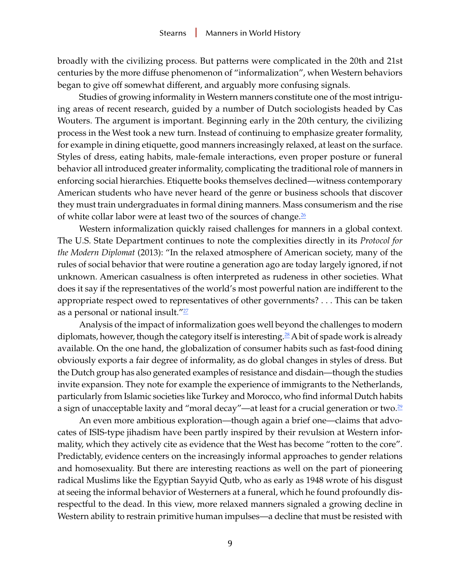<span id="page-8-0"></span>broadly with the civilizing process. But patterns were complicated in the 20th and 21st centuries by the more diffuse phenomenon of "informalization", when Western behaviors began to give off somewhat different, and arguably more confusing signals.

Studies of growing informality in Western manners constitute one of the most intriguing areas of recent research, guided by a number of Dutch sociologists headed by Cas Wouters. The argument is important. Beginning early in the 20th century, the civilizing process in the West took a new turn. Instead of continuing to emphasize greater formality, for example in dining etiquette, good manners increasingly relaxed, at least on the surface. Styles of dress, eating habits, male-female interactions, even proper posture or funeral behavior all introduced greater informality, complicating the traditional role of manners in enforcing social hierarchies. Etiquette books themselves declined—witness contemporary American students who have never heard of the genre or business schools that discover they must train undergraduates in formal dining manners. Mass consumerism and the rise of white collar labor were at least two of the sources of change.<sup>[26](#page-24-0)</sup>

Western informalization quickly raised challenges for manners in a global context. The U.S. State Department continues to note the complexities directly in its *Protocol for the Modern Diplomat* (2013): "In the relaxed atmosphere of American society, many of the rules of social behavior that were routine a generation ago are today largely ignored, if not unknown. American casualness is often interpreted as rudeness in other societies. What does it say if the representatives of the world's most powerful nation are indifferent to the appropriate respect owed to representatives of other governments? . . . This can be taken as a personal or national insult." $\frac{27}{2}$ 

Analysis of the impact of informalization goes well beyond the challenges to modern diplomats, however, though the category itself is interesting.<sup>28</sup> A bit of spade work is already available. On the one hand, the globalization of consumer habits such as fast-food dining obviously exports a fair degree of informality, as do global changes in styles of dress. But the Dutch group has also generated examples of resistance and disdain—though the studies invite expansion. They note for example the experience of immigrants to the Netherlands, particularly from Islamic societies like Turkey and Morocco, who find informal Dutch habits a sign of unacceptable laxity and "moral decay"—at least for a crucial generation or two. $29$ 

An even more ambitious exploration—though again a brief one—claims that advocates of ISIS-type jihadism have been partly inspired by their revulsion at Western informality, which they actively cite as evidence that the West has become "rotten to the core". Predictably, evidence centers on the increasingly informal approaches to gender relations and homosexuality. But there are interesting reactions as well on the part of pioneering radical Muslims like the Egyptian Sayyid Qutb, who as early as 1948 wrote of his disgust at seeing the informal behavior of Westerners at a funeral, which he found profoundly disrespectful to the dead. In this view, more relaxed manners signaled a growing decline in Western ability to restrain primitive human impulses—a decline that must be resisted with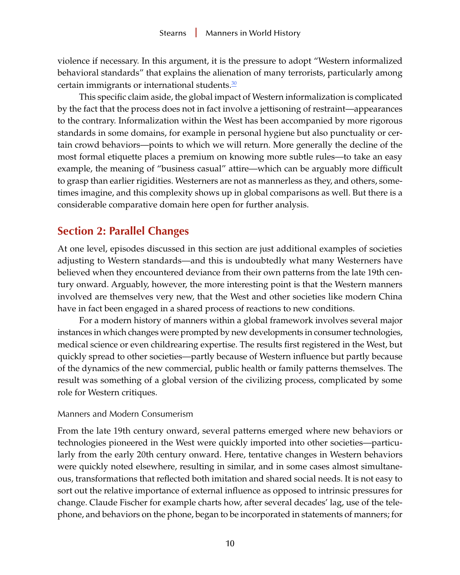<span id="page-9-0"></span>violence if necessary. In this argument, it is the pressure to adopt "Western informalized behavioral standards" that explains the alienation of many terrorists, particularly among certain immigrants or international students.<sup>[30](#page-25-0)</sup>

This specific claim aside, the global impact of Western informalization is complicated by the fact that the process does not in fact involve a jettisoning of restraint—appearances to the contrary. Informalization within the West has been accompanied by more rigorous standards in some domains, for example in personal hygiene but also punctuality or certain crowd behaviors—points to which we will return. More generally the decline of the most formal etiquette places a premium on knowing more subtle rules—to take an easy example, the meaning of "business casual" attire—which can be arguably more difficult to grasp than earlier rigidities. Westerners are not as mannerless as they, and others, sometimes imagine, and this complexity shows up in global comparisons as well. But there is a considerable comparative domain here open for further analysis.

## **Section 2: Parallel Changes**

At one level, episodes discussed in this section are just additional examples of societies adjusting to Western standards—and this is undoubtedly what many Westerners have believed when they encountered deviance from their own patterns from the late 19th century onward. Arguably, however, the more interesting point is that the Western manners involved are themselves very new, that the West and other societies like modern China have in fact been engaged in a shared process of reactions to new conditions.

For a modern history of manners within a global framework involves several major instances in which changes were prompted by new developments in consumer technologies, medical science or even childrearing expertise. The results first registered in the West, but quickly spread to other societies—partly because of Western influence but partly because of the dynamics of the new commercial, public health or family patterns themselves. The result was something of a global version of the civilizing process, complicated by some role for Western critiques.

## Manners and Modern Consumerism

From the late 19th century onward, several patterns emerged where new behaviors or technologies pioneered in the West were quickly imported into other societies—particularly from the early 20th century onward. Here, tentative changes in Western behaviors were quickly noted elsewhere, resulting in similar, and in some cases almost simultaneous, transformations that reflected both imitation and shared social needs. It is not easy to sort out the relative importance of external influence as opposed to intrinsic pressures for change. Claude Fischer for example charts how, after several decades' lag, use of the telephone, and behaviors on the phone, began to be incorporated in statements of manners; for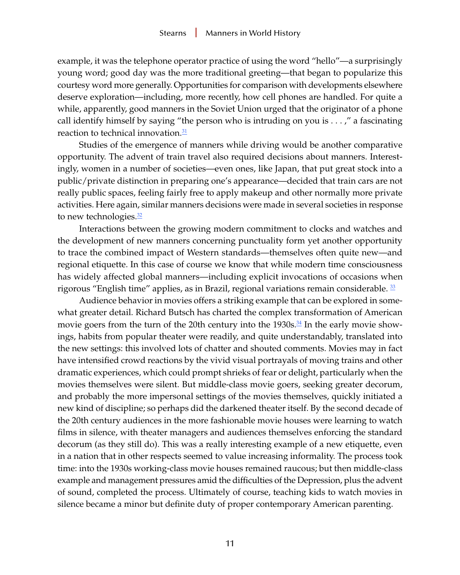<span id="page-10-0"></span>example, it was the telephone operator practice of using the word "hello"—a surprisingly young word; good day was the more traditional greeting—that began to popularize this courtesy word more generally. Opportunities for comparison with developments elsewhere deserve exploration—including, more recently, how cell phones are handled. For quite a while, apparently, good manners in the Soviet Union urged that the originator of a phone call identify himself by saying "the person who is intruding on you is . . . ," a fascinating reaction to technical innovation.<sup>[31](#page-25-0)</sup>

Studies of the emergence of manners while driving would be another comparative opportunity. The advent of train travel also required decisions about manners. Interestingly, women in a number of societies—even ones, like Japan, that put great stock into a public/private distinction in preparing one's appearance—decided that train cars are not really public spaces, feeling fairly free to apply makeup and other normally more private activities. Here again, similar manners decisions were made in several societies in response to new technologies. $32$ 

Interactions between the growing modern commitment to clocks and watches and the development of new manners concerning punctuality form yet another opportunity to trace the combined impact of Western standards—themselves often quite new—and regional etiquette. In this case of course we know that while modern time consciousness has widely affected global manners—including explicit invocations of occasions when rigorous "English time" applies, as in Brazil, regional variations remain considerable. [33](#page-25-0)

Audience behavior in movies offers a striking example that can be explored in somewhat greater detail. Richard Butsch has charted the complex transformation of American movie goers from the turn of the 20th century into the 1930s. $34$  In the early movie showings, habits from popular theater were readily, and quite understandably, translated into the new settings: this involved lots of chatter and shouted comments. Movies may in fact have intensified crowd reactions by the vivid visual portrayals of moving trains and other dramatic experiences, which could prompt shrieks of fear or delight, particularly when the movies themselves were silent. But middle-class movie goers, seeking greater decorum, and probably the more impersonal settings of the movies themselves, quickly initiated a new kind of discipline; so perhaps did the darkened theater itself. By the second decade of the 20th century audiences in the more fashionable movie houses were learning to watch films in silence, with theater managers and audiences themselves enforcing the standard decorum (as they still do). This was a really interesting example of a new etiquette, even in a nation that in other respects seemed to value increasing informality. The process took time: into the 1930s working-class movie houses remained raucous; but then middle-class example and management pressures amid the difficulties of the Depression, plus the advent of sound, completed the process. Ultimately of course, teaching kids to watch movies in silence became a minor but definite duty of proper contemporary American parenting.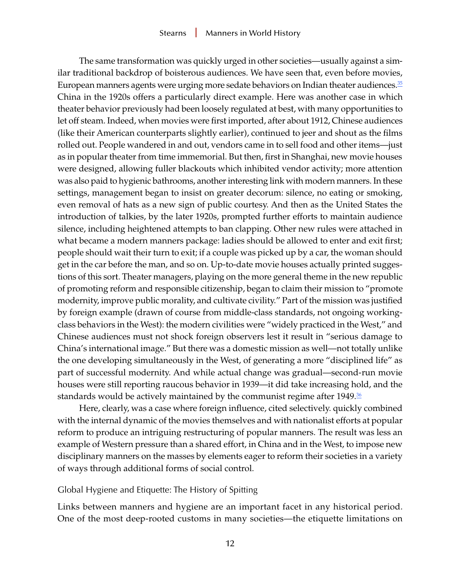<span id="page-11-0"></span>The same transformation was quickly urged in other societies—usually against a similar traditional backdrop of boisterous audiences. We have seen that, even before movies, European manners agents were urging more sedate behaviors on Indian theater audiences. $35$ China in the 1920s offers a particularly direct example. Here was another case in which theater behavior previously had been loosely regulated at best, with many opportunities to let off steam. Indeed, when movies were first imported, after about 1912, Chinese audiences (like their American counterparts slightly earlier), continued to jeer and shout as the films rolled out. People wandered in and out, vendors came in to sell food and other items—just as in popular theater from time immemorial. But then, first in Shanghai, new movie houses were designed, allowing fuller blackouts which inhibited vendor activity; more attention was also paid to hygienic bathrooms, another interesting link with modern manners. In these settings, management began to insist on greater decorum: silence, no eating or smoking, even removal of hats as a new sign of public courtesy. And then as the United States the introduction of talkies, by the later 1920s, prompted further efforts to maintain audience silence, including heightened attempts to ban clapping. Other new rules were attached in what became a modern manners package: ladies should be allowed to enter and exit first; people should wait their turn to exit; if a couple was picked up by a car, the woman should get in the car before the man, and so on. Up-to-date movie houses actually printed suggestions of this sort. Theater managers, playing on the more general theme in the new republic of promoting reform and responsible citizenship, began to claim their mission to "promote modernity, improve public morality, and cultivate civility." Part of the mission was justified by foreign example (drawn of course from middle-class standards, not ongoing workingclass behaviors in the West): the modern civilities were "widely practiced in the West," and Chinese audiences must not shock foreign observers lest it result in "serious damage to China's international image." But there was a domestic mission as well—not totally unlike the one developing simultaneously in the West, of generating a more "disciplined life" as part of successful modernity. And while actual change was gradual—second-run movie houses were still reporting raucous behavior in 1939—it did take increasing hold, and the standards would be actively maintained by the communist regime after 1949.<sup>36</sup>

Here, clearly, was a case where foreign influence, cited selectively. quickly combined with the internal dynamic of the movies themselves and with nationalist efforts at popular reform to produce an intriguing restructuring of popular manners. The result was less an example of Western pressure than a shared effort, in China and in the West, to impose new disciplinary manners on the masses by elements eager to reform their societies in a variety of ways through additional forms of social control.

Global Hygiene and Etiquette: The History of Spitting

Links between manners and hygiene are an important facet in any historical period. One of the most deep-rooted customs in many societies—the etiquette limitations on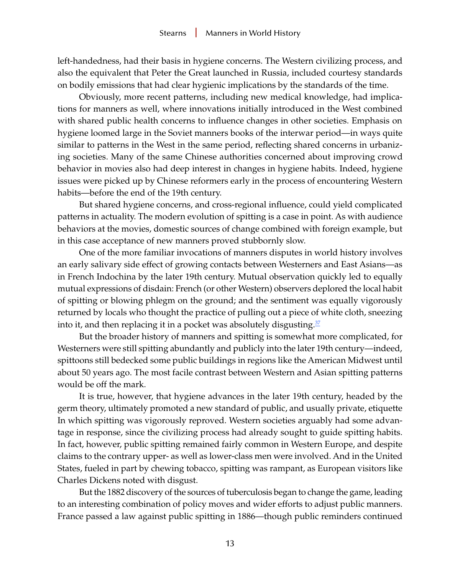<span id="page-12-0"></span>left-handedness, had their basis in hygiene concerns. The Western civilizing process, and also the equivalent that Peter the Great launched in Russia, included courtesy standards on bodily emissions that had clear hygienic implications by the standards of the time.

Obviously, more recent patterns, including new medical knowledge, had implications for manners as well, where innovations initially introduced in the West combined with shared public health concerns to influence changes in other societies. Emphasis on hygiene loomed large in the Soviet manners books of the interwar period—in ways quite similar to patterns in the West in the same period, reflecting shared concerns in urbanizing societies. Many of the same Chinese authorities concerned about improving crowd behavior in movies also had deep interest in changes in hygiene habits. Indeed, hygiene issues were picked up by Chinese reformers early in the process of encountering Western habits—before the end of the 19th century.

But shared hygiene concerns, and cross-regional influence, could yield complicated patterns in actuality. The modern evolution of spitting is a case in point. As with audience behaviors at the movies, domestic sources of change combined with foreign example, but in this case acceptance of new manners proved stubbornly slow.

One of the more familiar invocations of manners disputes in world history involves an early salivary side effect of growing contacts between Westerners and East Asians—as in French Indochina by the later 19th century. Mutual observation quickly led to equally mutual expressions of disdain: French (or other Western) observers deplored the local habit of spitting or blowing phlegm on the ground; and the sentiment was equally vigorously returned by locals who thought the practice of pulling out a piece of white cloth, sneezing into it, and then replacing it in a pocket was absolutely disgusting  $\frac{37}{2}$  $\frac{37}{2}$  $\frac{37}{2}$ 

But the broader history of manners and spitting is somewhat more complicated, for Westerners were still spitting abundantly and publicly into the later 19th century—indeed, spittoons still bedecked some public buildings in regions like the American Midwest until about 50 years ago. The most facile contrast between Western and Asian spitting patterns would be off the mark.

It is true, however, that hygiene advances in the later 19th century, headed by the germ theory, ultimately promoted a new standard of public, and usually private, etiquette In which spitting was vigorously reproved. Western societies arguably had some advantage in response, since the civilizing process had already sought to guide spitting habits. In fact, however, public spitting remained fairly common in Western Europe, and despite claims to the contrary upper- as well as lower-class men were involved. And in the United States, fueled in part by chewing tobacco, spitting was rampant, as European visitors like Charles Dickens noted with disgust.

But the 1882 discovery of the sources of tuberculosis began to change the game, leading to an interesting combination of policy moves and wider efforts to adjust public manners. France passed a law against public spitting in 1886—though public reminders continued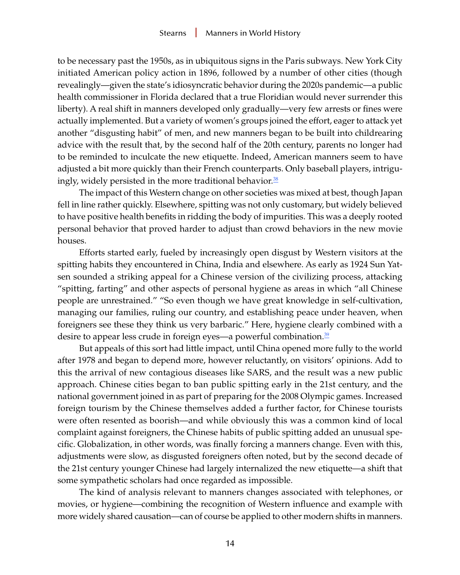<span id="page-13-0"></span>to be necessary past the 1950s, as in ubiquitous signs in the Paris subways. New York City initiated American policy action in 1896, followed by a number of other cities (though revealingly—given the state's idiosyncratic behavior during the 2020s pandemic—a public health commissioner in Florida declared that a true Floridian would never surrender this liberty). A real shift in manners developed only gradually—very few arrests or fines were actually implemented. But a variety of women's groups joined the effort, eager to attack yet another "disgusting habit" of men, and new manners began to be built into childrearing advice with the result that, by the second half of the 20th century, parents no longer had to be reminded to inculcate the new etiquette. Indeed, American manners seem to have adjusted a bit more quickly than their French counterparts. Only baseball players, intriguingly, widely persisted in the more traditional behavior. $38$ 

The impact of this Western change on other societies was mixed at best, though Japan fell in line rather quickly. Elsewhere, spitting was not only customary, but widely believed to have positive health benefits in ridding the body of impurities. This was a deeply rooted personal behavior that proved harder to adjust than crowd behaviors in the new movie houses.

Efforts started early, fueled by increasingly open disgust by Western visitors at the spitting habits they encountered in China, India and elsewhere. As early as 1924 Sun Yatsen sounded a striking appeal for a Chinese version of the civilizing process, attacking "spitting, farting" and other aspects of personal hygiene as areas in which "all Chinese people are unrestrained." "So even though we have great knowledge in self-cultivation, managing our families, ruling our country, and establishing peace under heaven, when foreigners see these they think us very barbaric." Here, hygiene clearly combined with a desire to appear less crude in foreign eyes—a powerful combination.<sup>[39](#page-25-0)</sup>

But appeals of this sort had little impact, until China opened more fully to the world after 1978 and began to depend more, however reluctantly, on visitors' opinions. Add to this the arrival of new contagious diseases like SARS, and the result was a new public approach. Chinese cities began to ban public spitting early in the 21st century, and the national government joined in as part of preparing for the 2008 Olympic games. Increased foreign tourism by the Chinese themselves added a further factor, for Chinese tourists were often resented as boorish—and while obviously this was a common kind of local complaint against foreigners, the Chinese habits of public spitting added an unusual specific. Globalization, in other words, was finally forcing a manners change. Even with this, adjustments were slow, as disgusted foreigners often noted, but by the second decade of the 21st century younger Chinese had largely internalized the new etiquette—a shift that some sympathetic scholars had once regarded as impossible.

The kind of analysis relevant to manners changes associated with telephones, or movies, or hygiene—combining the recognition of Western influence and example with more widely shared causation—can of course be applied to other modern shifts in manners.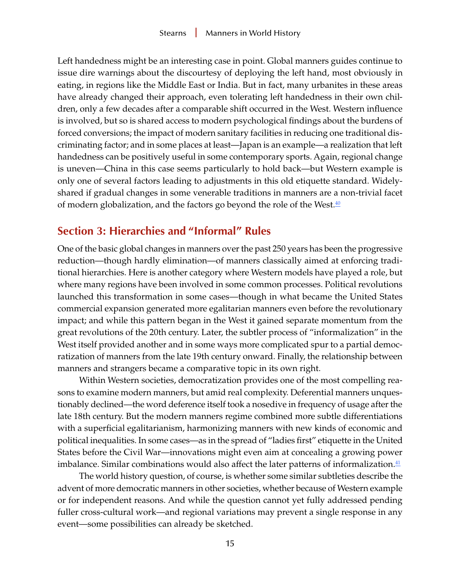<span id="page-14-0"></span>Left handedness might be an interesting case in point. Global manners guides continue to issue dire warnings about the discourtesy of deploying the left hand, most obviously in eating, in regions like the Middle East or India. But in fact, many urbanites in these areas have already changed their approach, even tolerating left handedness in their own children, only a few decades after a comparable shift occurred in the West. Western influence is involved, but so is shared access to modern psychological findings about the burdens of forced conversions; the impact of modern sanitary facilities in reducing one traditional discriminating factor; and in some places at least—Japan is an example—a realization that left handedness can be positively useful in some contemporary sports. Again, regional change is uneven—China in this case seems particularly to hold back—but Western example is only one of several factors leading to adjustments in this old etiquette standard. Widelyshared if gradual changes in some venerable traditions in manners are a non-trivial facet of modern globalization, and the factors go beyond the role of the West. $\frac{40}{5}$  $\frac{40}{5}$  $\frac{40}{5}$ 

# **Section 3: Hierarchies and "Informal" Rules**

One of the basic global changes in manners over the past 250 years has been the progressive reduction—though hardly elimination—of manners classically aimed at enforcing traditional hierarchies. Here is another category where Western models have played a role, but where many regions have been involved in some common processes. Political revolutions launched this transformation in some cases—though in what became the United States commercial expansion generated more egalitarian manners even before the revolutionary impact; and while this pattern began in the West it gained separate momentum from the great revolutions of the 20th century. Later, the subtler process of "informalization" in the West itself provided another and in some ways more complicated spur to a partial democratization of manners from the late 19th century onward. Finally, the relationship between manners and strangers became a comparative topic in its own right.

Within Western societies, democratization provides one of the most compelling reasons to examine modern manners, but amid real complexity. Deferential manners unquestionably declined—the word deference itself took a nosedive in frequency of usage after the late 18th century. But the modern manners regime combined more subtle differentiations with a superficial egalitarianism, harmonizing manners with new kinds of economic and political inequalities. In some cases—as in the spread of "ladies first" etiquette in the United States before the Civil War—innovations might even aim at concealing a growing power imbalance. Similar combinations would also affect the later patterns of informalization. $41$ 

The world history question, of course, is whether some similar subtleties describe the advent of more democratic manners in other societies, whether because of Western example or for independent reasons. And while the question cannot yet fully addressed pending fuller cross-cultural work—and regional variations may prevent a single response in any event—some possibilities can already be sketched.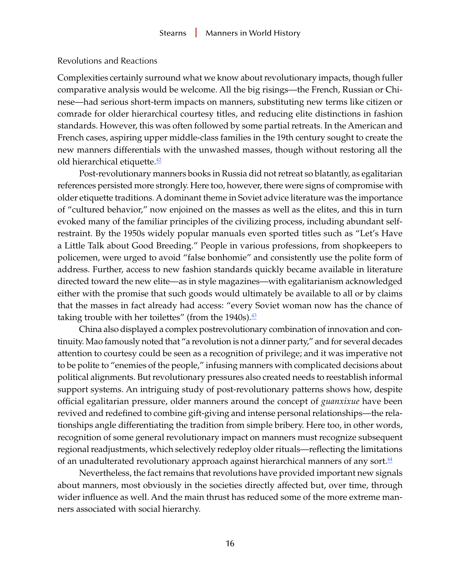#### <span id="page-15-0"></span>Revolutions and Reactions

Complexities certainly surround what we know about revolutionary impacts, though fuller comparative analysis would be welcome. All the big risings—the French, Russian or Chinese—had serious short-term impacts on manners, substituting new terms like citizen or comrade for older hierarchical courtesy titles, and reducing elite distinctions in fashion standards. However, this was often followed by some partial retreats. In the American and French cases, aspiring upper middle-class families in the 19th century sought to create the new manners differentials with the unwashed masses, though without restoring all the old hierarchical etiquette. $\frac{42}{5}$  $\frac{42}{5}$  $\frac{42}{5}$ 

Post-revolutionary manners books in Russia did not retreat so blatantly, as egalitarian references persisted more strongly. Here too, however, there were signs of compromise with older etiquette traditions. A dominant theme in Soviet advice literature was the importance of "cultured behavior," now enjoined on the masses as well as the elites, and this in turn evoked many of the familiar principles of the civilizing process, including abundant selfrestraint. By the 1950s widely popular manuals even sported titles such as "Let's Have a Little Talk about Good Breeding." People in various professions, from shopkeepers to policemen, were urged to avoid "false bonhomie" and consistently use the polite form of address. Further, access to new fashion standards quickly became available in literature directed toward the new elite—as in style magazines—with egalitarianism acknowledged either with the promise that such goods would ultimately be available to all or by claims that the masses in fact already had access: "every Soviet woman now has the chance of taking trouble with her toilettes" (from the 1940s). $\frac{43}{2}$  $\frac{43}{2}$  $\frac{43}{2}$ 

China also displayed a complex postrevolutionary combination of innovation and continuity. Mao famously noted that "a revolution is not a dinner party," and for several decades attention to courtesy could be seen as a recognition of privilege; and it was imperative not to be polite to "enemies of the people," infusing manners with complicated decisions about political alignments. But revolutionary pressures also created needs to reestablish informal support systems. An intriguing study of post-revolutionary patterns shows how, despite official egalitarian pressure, older manners around the concept of *guanxixue* have been revived and redefined to combine gift-giving and intense personal relationships—the relationships angle differentiating the tradition from simple bribery. Here too, in other words, recognition of some general revolutionary impact on manners must recognize subsequent regional readjustments, which selectively redeploy older rituals—reflecting the limitations of an unadulterated revolutionary approach against hierarchical manners of any sort  $44$ 

Nevertheless, the fact remains that revolutions have provided important new signals about manners, most obviously in the societies directly affected but, over time, through wider influence as well. And the main thrust has reduced some of the more extreme manners associated with social hierarchy.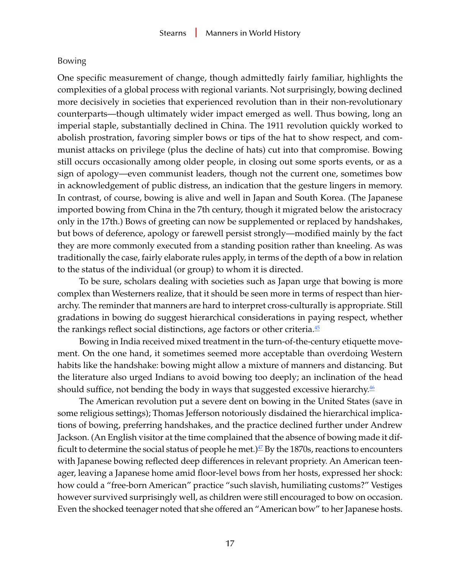## <span id="page-16-0"></span>Bowing

One specific measurement of change, though admittedly fairly familiar, highlights the complexities of a global process with regional variants. Not surprisingly, bowing declined more decisively in societies that experienced revolution than in their non-revolutionary counterparts—though ultimately wider impact emerged as well. Thus bowing, long an imperial staple, substantially declined in China. The 1911 revolution quickly worked to abolish prostration, favoring simpler bows or tips of the hat to show respect, and communist attacks on privilege (plus the decline of hats) cut into that compromise. Bowing still occurs occasionally among older people, in closing out some sports events, or as a sign of apology—even communist leaders, though not the current one, sometimes bow in acknowledgement of public distress, an indication that the gesture lingers in memory. In contrast, of course, bowing is alive and well in Japan and South Korea. (The Japanese imported bowing from China in the 7th century, though it migrated below the aristocracy only in the 17th.) Bows of greeting can now be supplemented or replaced by handshakes, but bows of deference, apology or farewell persist strongly—modified mainly by the fact they are more commonly executed from a standing position rather than kneeling. As was traditionally the case, fairly elaborate rules apply, in terms of the depth of a bow in relation to the status of the individual (or group) to whom it is directed.

To be sure, scholars dealing with societies such as Japan urge that bowing is more complex than Westerners realize, that it should be seen more in terms of respect than hierarchy. The reminder that manners are hard to interpret cross-culturally is appropriate. Still gradations in bowing do suggest hierarchical considerations in paying respect, whether the rankings reflect social distinctions, age factors or other criteria. $\frac{45}{5}$  $\frac{45}{5}$  $\frac{45}{5}$ 

Bowing in India received mixed treatment in the turn-of-the-century etiquette movement. On the one hand, it sometimes seemed more acceptable than overdoing Western habits like the handshake: bowing might allow a mixture of manners and distancing. But the literature also urged Indians to avoid bowing too deeply; an inclination of the head should suffice, not bending the body in ways that suggested excessive hierarchy. $46$ 

The American revolution put a severe dent on bowing in the United States (save in some religious settings); Thomas Jefferson notoriously disdained the hierarchical implications of bowing, preferring handshakes, and the practice declined further under Andrew Jackson. (An English visitor at the time complained that the absence of bowing made it difficult to determine the social status of people he met.) $\frac{47}{2}$  By the 1870s, reactions to encounters with Japanese bowing reflected deep differences in relevant propriety. An American teenager, leaving a Japanese home amid floor-level bows from her hosts, expressed her shock: how could a "free-born American" practice "such slavish, humiliating customs?" Vestiges however survived surprisingly well, as children were still encouraged to bow on occasion. Even the shocked teenager noted that she offered an "American bow" to her Japanese hosts.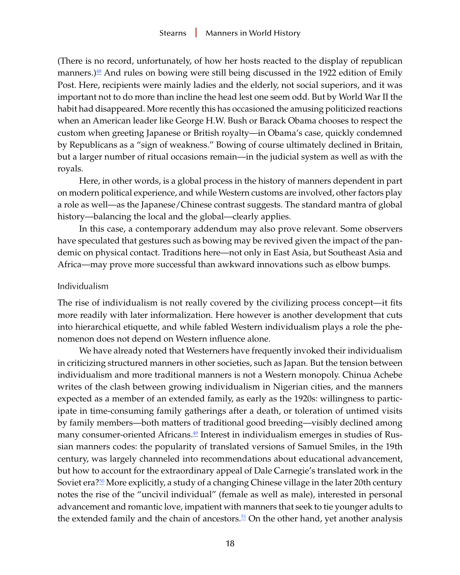<span id="page-17-0"></span>(There is no record, unfortunately, of how her hosts reacted to the display of republican manners.) $48$  And rules on bowing were still being discussed in the 1922 edition of Emily Post. Here, recipients were mainly ladies and the elderly, not social superiors, and it was important not to do more than incline the head lest one seem odd. But by World War II the habit had disappeared. More recently this has occasioned the amusing politicized reactions when an American leader like George H.W. Bush or Barack Obama chooses to respect the custom when greeting Japanese or British royalty—in Obama's case, quickly condemned by Republicans as a "sign of weakness." Bowing of course ultimately declined in Britain, but a larger number of ritual occasions remain—in the judicial system as well as with the royals.

Here, in other words, is a global process in the history of manners dependent in part on modern political experience, and while Western customs are involved, other factors play a role as well—as the Japanese/Chinese contrast suggests. The standard mantra of global history—balancing the local and the global—clearly applies.

In this case, a contemporary addendum may also prove relevant. Some observers have speculated that gestures such as bowing may be revived given the impact of the pandemic on physical contact. Traditions here—not only in East Asia, but Southeast Asia and Africa—may prove more successful than awkward innovations such as elbow bumps.

#### Individualism

The rise of individualism is not really covered by the civilizing process concept—it fits more readily with later informalization. Here however is another development that cuts into hierarchical etiquette, and while fabled Western individualism plays a role the phenomenon does not depend on Western influence alone.

We have already noted that Westerners have frequently invoked their individualism in criticizing structured manners in other societies, such as Japan. But the tension between individualism and more traditional manners is not a Western monopoly. Chinua Achebe writes of the clash between growing individualism in Nigerian cities, and the manners expected as a member of an extended family, as early as the 1920s: willingness to participate in time-consuming family gatherings after a death, or toleration of untimed visits by family members—both matters of traditional good breeding—visibly declined among many consumer-oriented Africans.[49](#page-25-0) Interest in individualism emerges in studies of Russian manners codes: the popularity of translated versions of Samuel Smiles, in the 19th century, was largely channeled into recommendations about educational advancement, but how to account for the extraordinary appeal of Dale Carnegie's translated work in the Soviet era?<sup>50</sup> More explicitly, a study of a changing Chinese village in the later 20th century notes the rise of the "uncivil individual" (female as well as male), interested in personal advancement and romantic love, impatient with manners that seek to tie younger adults to the extended family and the chain of ancestors. $51$  On the other hand, yet another analysis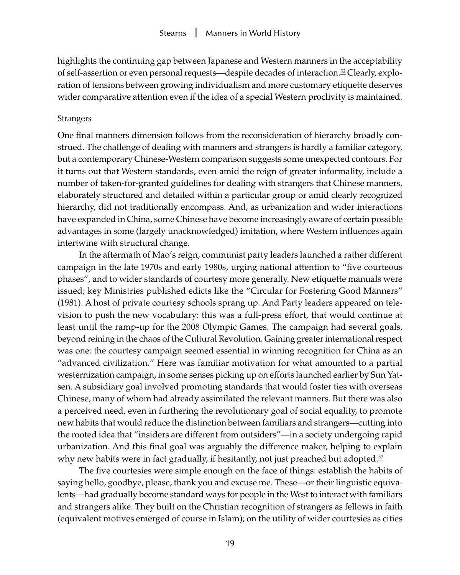<span id="page-18-0"></span>highlights the continuing gap between Japanese and Western manners in the acceptability of self-assertion or even personal requests—despite decades of interaction.<sup>52</sup> Clearly, exploration of tensions between growing individualism and more customary etiquette deserves wider comparative attention even if the idea of a special Western proclivity is maintained.

#### Strangers

One final manners dimension follows from the reconsideration of hierarchy broadly construed. The challenge of dealing with manners and strangers is hardly a familiar category, but a contemporary Chinese-Western comparison suggests some unexpected contours. For it turns out that Western standards, even amid the reign of greater informality, include a number of taken-for-granted guidelines for dealing with strangers that Chinese manners, elaborately structured and detailed within a particular group or amid clearly recognized hierarchy, did not traditionally encompass. And, as urbanization and wider interactions have expanded in China, some Chinese have become increasingly aware of certain possible advantages in some (largely unacknowledged) imitation, where Western influences again intertwine with structural change.

In the aftermath of Mao's reign, communist party leaders launched a rather different campaign in the late 1970s and early 1980s, urging national attention to "five courteous phases", and to wider standards of courtesy more generally. New etiquette manuals were issued; key Ministries published edicts like the "Circular for Fostering Good Manners" (1981). A host of private courtesy schools sprang up. And Party leaders appeared on television to push the new vocabulary: this was a full-press effort, that would continue at least until the ramp-up for the 2008 Olympic Games. The campaign had several goals, beyond reining in the chaos of the Cultural Revolution. Gaining greater international respect was one: the courtesy campaign seemed essential in winning recognition for China as an "advanced civilization." Here was familiar motivation for what amounted to a partial westernization campaign, in some senses picking up on efforts launched earlier by Sun Yatsen. A subsidiary goal involved promoting standards that would foster ties with overseas Chinese, many of whom had already assimilated the relevant manners. But there was also a perceived need, even in furthering the revolutionary goal of social equality, to promote new habits that would reduce the distinction between familiars and strangers—cutting into the rooted idea that "insiders are different from outsiders"—in a society undergoing rapid urbanization. And this final goal was arguably the difference maker, helping to explain why new habits were in fact gradually, if hesitantly, not just preached but adopted.<sup>[53](#page-26-0)</sup>

The five courtesies were simple enough on the face of things: establish the habits of saying hello, goodbye, please, thank you and excuse me. These—or their linguistic equivalents—had gradually become standard ways for people in the West to interact with familiars and strangers alike. They built on the Christian recognition of strangers as fellows in faith (equivalent motives emerged of course in Islam); on the utility of wider courtesies as cities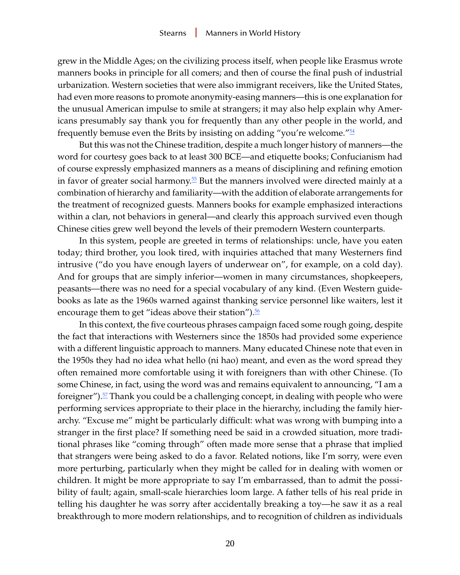<span id="page-19-0"></span>grew in the Middle Ages; on the civilizing process itself, when people like Erasmus wrote manners books in principle for all comers; and then of course the final push of industrial urbanization. Western societies that were also immigrant receivers, like the United States, had even more reasons to promote anonymity-easing manners—this is one explanation for the unusual American impulse to smile at strangers; it may also help explain why Americans presumably say thank you for frequently than any other people in the world, and frequently bemuse even the Brits by insisting on adding "you're welcome."[54](#page-26-0)

But this was not the Chinese tradition, despite a much longer history of manners—the word for courtesy goes back to at least 300 BCE—and etiquette books; Confucianism had of course expressly emphasized manners as a means of disciplining and refining emotion in favor of greater social harmony.<sup>[55](#page-26-0)</sup> But the manners involved were directed mainly at a combination of hierarchy and familiarity—with the addition of elaborate arrangements for the treatment of recognized guests. Manners books for example emphasized interactions within a clan, not behaviors in general—and clearly this approach survived even though Chinese cities grew well beyond the levels of their premodern Western counterparts.

In this system, people are greeted in terms of relationships: uncle, have you eaten today; third brother, you look tired, with inquiries attached that many Westerners find intrusive ("do you have enough layers of underwear on", for example, on a cold day). And for groups that are simply inferior—women in many circumstances, shopkeepers, peasants—there was no need for a special vocabulary of any kind. (Even Western guidebooks as late as the 1960s warned against thanking service personnel like waiters, lest it encourage them to get "ideas above their station"). $56$ 

In this context, the five courteous phrases campaign faced some rough going, despite the fact that interactions with Westerners since the 1850s had provided some experience with a different linguistic approach to manners. Many educated Chinese note that even in the 1950s they had no idea what hello (ni hao) meant, and even as the word spread they often remained more comfortable using it with foreigners than with other Chinese. (To some Chinese, in fact, using the word was and remains equivalent to announcing, "I am a foreigner"). $57$  Thank you could be a challenging concept, in dealing with people who were performing services appropriate to their place in the hierarchy, including the family hierarchy. "Excuse me" might be particularly difficult: what was wrong with bumping into a stranger in the first place? If something need be said in a crowded situation, more traditional phrases like "coming through" often made more sense that a phrase that implied that strangers were being asked to do a favor. Related notions, like I'm sorry, were even more perturbing, particularly when they might be called for in dealing with women or children. It might be more appropriate to say I'm embarrassed, than to admit the possibility of fault; again, small-scale hierarchies loom large. A father tells of his real pride in telling his daughter he was sorry after accidentally breaking a toy—he saw it as a real breakthrough to more modern relationships, and to recognition of children as individuals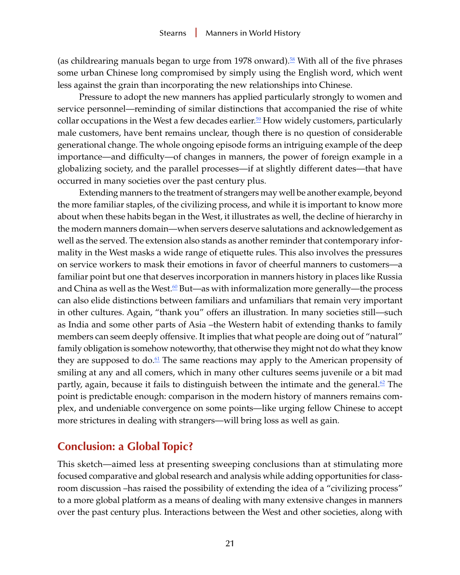<span id="page-20-0"></span>(as childrearing manuals began to urge from 1978 onward).<sup>[58](#page-26-0)</sup> With all of the five phrases some urban Chinese long compromised by simply using the English word, which went less against the grain than incorporating the new relationships into Chinese.

Pressure to adopt the new manners has applied particularly strongly to women and service personnel—reminding of similar distinctions that accompanied the rise of white collar occupations in the West a few decades earlier.<sup>59</sup> How widely customers, particularly male customers, have bent remains unclear, though there is no question of considerable generational change. The whole ongoing episode forms an intriguing example of the deep importance—and difficulty—of changes in manners, the power of foreign example in a globalizing society, and the parallel processes—if at slightly different dates—that have occurred in many societies over the past century plus.

Extending manners to the treatment of strangers may well be another example, beyond the more familiar staples, of the civilizing process, and while it is important to know more about when these habits began in the West, it illustrates as well, the decline of hierarchy in the modern manners domain—when servers deserve salutations and acknowledgement as well as the served. The extension also stands as another reminder that contemporary informality in the West masks a wide range of etiquette rules. This also involves the pressures on service workers to mask their emotions in favor of cheerful manners to customers—a familiar point but one that deserves incorporation in manners history in places like Russia and China as well as the West. $\omega$  But—as with informalization more generally—the process can also elide distinctions between familiars and unfamiliars that remain very important in other cultures. Again, "thank you" offers an illustration. In many societies still—such as India and some other parts of Asia –the Western habit of extending thanks to family members can seem deeply offensive. It implies that what people are doing out of "natural" family obligation is somehow noteworthy, that otherwise they might not do what they know they are supposed to do. $\mathfrak{q}$  The same reactions may apply to the American propensity of smiling at any and all comers, which in many other cultures seems juvenile or a bit mad partly, again, because it fails to distinguish between the intimate and the general.<sup> $@$ </sup> The point is predictable enough: comparison in the modern history of manners remains complex, and undeniable convergence on some points—like urging fellow Chinese to accept more strictures in dealing with strangers—will bring loss as well as gain.

# **Conclusion: a Global Topic?**

This sketch—aimed less at presenting sweeping conclusions than at stimulating more focused comparative and global research and analysis while adding opportunities for classroom discussion –has raised the possibility of extending the idea of a "civilizing process" to a more global platform as a means of dealing with many extensive changes in manners over the past century plus. Interactions between the West and other societies, along with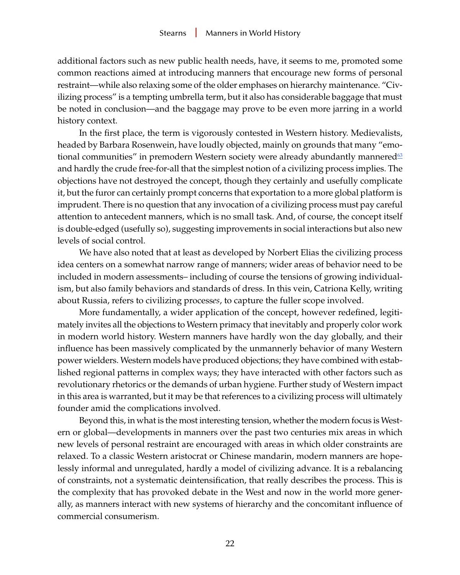<span id="page-21-0"></span>additional factors such as new public health needs, have, it seems to me, promoted some common reactions aimed at introducing manners that encourage new forms of personal restraint—while also relaxing some of the older emphases on hierarchy maintenance. "Civilizing process" is a tempting umbrella term, but it also has considerable baggage that must be noted in conclusion—and the baggage may prove to be even more jarring in a world history context.

In the first place, the term is vigorously contested in Western history. Medievalists, headed by Barbara Rosenwein, have loudly objected, mainly on grounds that many "emotional communities" in premodern Western society were already abundantly mannered $63$ and hardly the crude free-for-all that the simplest notion of a civilizing process implies. The objections have not destroyed the concept, though they certainly and usefully complicate it, but the furor can certainly prompt concerns that exportation to a more global platform is imprudent. There is no question that any invocation of a civilizing process must pay careful attention to antecedent manners, which is no small task. And, of course, the concept itself is double-edged (usefully so), suggesting improvements in social interactions but also new levels of social control.

We have also noted that at least as developed by Norbert Elias the civilizing process idea centers on a somewhat narrow range of manners; wider areas of behavior need to be included in modern assessments– including of course the tensions of growing individualism, but also family behaviors and standards of dress. In this vein, Catriona Kelly, writing about Russia, refers to civilizing process*es*, to capture the fuller scope involved.

More fundamentally, a wider application of the concept, however redefined, legitimately invites all the objections to Western primacy that inevitably and properly color work in modern world history. Western manners have hardly won the day globally, and their influence has been massively complicated by the unmannerly behavior of many Western power wielders. Western models have produced objections; they have combined with established regional patterns in complex ways; they have interacted with other factors such as revolutionary rhetorics or the demands of urban hygiene. Further study of Western impact in this area is warranted, but it may be that references to a civilizing process will ultimately founder amid the complications involved.

Beyond this, in what is the most interesting tension, whether the modern focus is Western or global—developments in manners over the past two centuries mix areas in which new levels of personal restraint are encouraged with areas in which older constraints are relaxed. To a classic Western aristocrat or Chinese mandarin, modern manners are hopelessly informal and unregulated, hardly a model of civilizing advance. It is a rebalancing of constraints, not a systematic deintensification, that really describes the process. This is the complexity that has provoked debate in the West and now in the world more generally, as manners interact with new systems of hierarchy and the concomitant influence of commercial consumerism.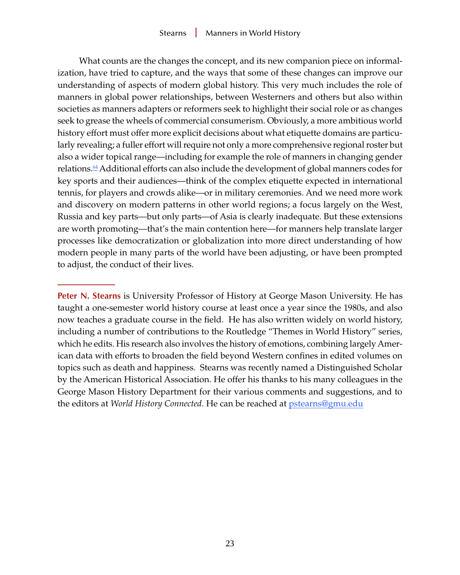<span id="page-22-0"></span>What counts are the changes the concept, and its new companion piece on informalization, have tried to capture, and the ways that some of these changes can improve our understanding of aspects of modern global history. This very much includes the role of manners in global power relationships, between Westerners and others but also within societies as manners adapters or reformers seek to highlight their social role or as changes seek to grease the wheels of commercial consumerism. Obviously, a more ambitious world history effort must offer more explicit decisions about what etiquette domains are particularly revealing; a fuller effort will require not only a more comprehensive regional roster but also a wider topical range—including for example the role of manners in changing gender relations.<sup>64</sup> Additional efforts can also include the development of global manners codes for key sports and their audiences—think of the complex etiquette expected in international tennis, for players and crowds alike—or in military ceremonies. And we need more work and discovery on modern patterns in other world regions; a focus largely on the West, Russia and key parts—but only parts—of Asia is clearly inadequate. But these extensions are worth promoting—that's the main contention here—for manners help translate larger processes like democratization or globalization into more direct understanding of how modern people in many parts of the world have been adjusting, or have been prompted to adjust, the conduct of their lives.

Peter N. Stearns is University Professor of History at George Mason University. He has taught a one-semester world history course at least once a year since the 1980s, and also now teaches a graduate course in the field. He has also written widely on world history, including a number of contributions to the Routledge "Themes in World History" series, which he edits. His research also involves the history of emotions, combining largely American data with efforts to broaden the field beyond Western confines in edited volumes on topics such as death and happiness. Stearns was recently named a Distinguished Scholar by the American Historical Association. He offer his thanks to his many colleagues in the George Mason History Department for their various comments and suggestions, and to the editors at *World History Connected*. He can be reached at [pstearns@gmu.edu](mailto:pstearns@gmu.edu)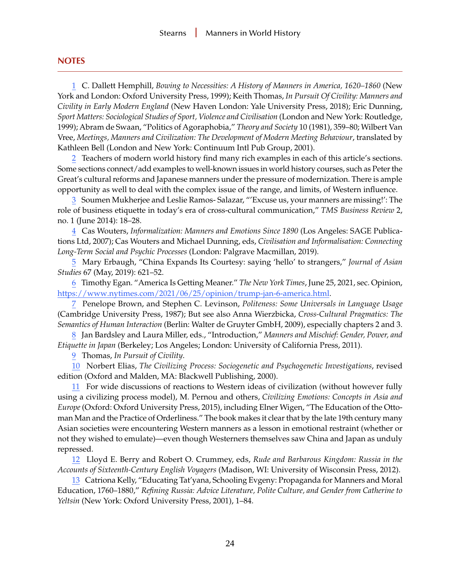#### <span id="page-23-0"></span>**NOTES**

[1](#page-0-0) C. Dallett Hemphill, *Bowing to Necessities: A History of Manners in America, 1620–1860* (New York and London: Oxford University Press, 1999); Keith Thomas, *In Pursuit Of Civility: Manners and Civility in Early Modern England* (New Haven London: Yale University Press, 2018); Eric Dunning, *Sport Matters: Sociological Studies of Sport, Violence and Civilisation* (London and New York: Routledge, 1999); Abram de Swaan, "Politics of Agoraphobia," *Theory and Society* 10 (1981), 359–80; Wilbert Van Vree, *Meetings, Manners and Civilization: The Development of Modern Meeting Behaviour*, translated by Kathleen Bell (London and New York: Continuum Intl Pub Group, 2001).

[2](#page-0-0) Teachers of modern world history find many rich examples in each of this article's sections. Some sections connect/add examples to well-known issues in world history courses, such as Peter the Great's cultural reforms and Japanese manners under the pressure of modernization. There is ample opportunity as well to deal with the complex issue of the range, and limits, of Western influence.

[3](#page-1-0) Soumen Mukherjee and Leslie Ramos- Salazar, "'Excuse us, your manners are missing!': The role of business etiquette in today's era of cross-cultural communication," *TMS Business Review* 2, no. 1 (June 2014): 18–28.

[4](#page-1-0) Cas Wouters, *Informalization: Manners and Emotions Since 1890* (Los Angeles: SAGE Publications Ltd, 2007); Cas Wouters and Michael Dunning, eds, *Civilisation and Informalisation: Connecting Long-Term Social and Psychic Processes* (London: Palgrave Macmillan, 2019).

[5](#page-1-0) Mary Erbaugh, "China Expands Its Courtesy: saying 'hello' to strangers," *Journal of Asian Studies* 67 (May, 2019): 621–52.

[6](#page-1-0) Timothy Egan. "America Is Getting Meaner." *The New York Times*, June 25, 2021, sec. Opinion, [https://www.nytimes.com/2021/06/25/opinion/trump-jan-6-america.html.](https://www.nytimes.com/2021/06/25/opinion/trump-jan-6-america.html)

[7](#page-2-0) Penelope Brown, and Stephen C. Levinson, *Politeness: Some Universals in Language Usage* (Cambridge University Press, 1987); But see also Anna Wierzbicka, *Cross-Cultural Pragmatics: The Semantics of Human Interaction* (Berlin: Walter de Gruyter GmbH, 2009), especially chapters 2 and 3.

[8](#page-2-0) Jan Bardsley and Laura Miller, eds., "Introduction," *Manners and Mischief: Gender, Power, and Etiquette in Japan* (Berkeley; Los Angeles; London: University of California Press, 2011).

[9](#page-2-0) Thomas, *In Pursuit of Civility*.

[10](#page-3-0) Norbert Elias, *The Civilizing Process: Sociogenetic and Psychogenetic Investigations*, revised edition (Oxford and Malden, MA: Blackwell Publishing, 2000).

[11](#page-3-0) For wide discussions of reactions to Western ideas of civilization (without however fully using a civilizing process model), M. Pernou and others, *Civilizing Emotions: Concepts in Asia and Europe* (Oxford: Oxford University Press, 2015), including Elner Wigen, "The Education of the Ottoman Man and the Practice of Orderliness." The book makes it clear that by the late 19th century many Asian societies were encountering Western manners as a lesson in emotional restraint (whether or not they wished to emulate)—even though Westerners themselves saw China and Japan as unduly repressed.

[12](#page-3-0) Lloyd E. Berry and Robert O. Crummey, eds, *Rude and Barbarous Kingdom: Russia in the Accounts of Sixteenth-Century English Voyagers* (Madison, WI: University of Wisconsin Press, 2012).

[13](#page-4-0) Catriona Kelly, "Educating Tat'yana, Schooling Evgeny: Propaganda for Manners and Moral Education, 1760–1880," *Refining Russia: Advice Literature, Polite Culture, and Gender from Catherine to Yeltsin* (New York: Oxford University Press, 2001), 1–84.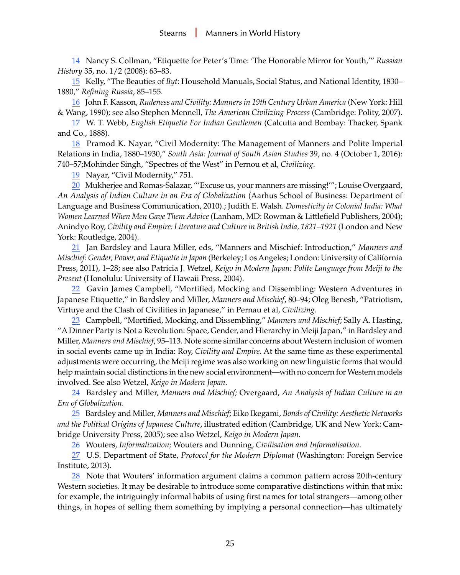<span id="page-24-0"></span>[14](#page-4-0) Nancy S. Collman, "Etiquette for Peter's Time: 'The Honorable Mirror for Youth,'" *Russian History* 35, no. 1/2 (2008): 63–83.

[15](#page-4-0) Kelly, "The Beauties of *Byt*: Household Manuals, Social Status, and National Identity, 1830– 1880," *Refining Russia*, 85–155.

[16](#page-5-0) John F. Kasson, *Rudeness and Civility: Manners in 19th Century Urban America* (New York: Hill & Wang, 1990); see also Stephen Mennell, *The American Civilizing Process* (Cambridge: Polity, 2007).

[17](#page-5-0) W. T. Webb, *English Etiquette For Indian Gentlemen* (Calcutta and Bombay: Thacker, Spank and Co., 1888).

[18](#page-5-0) Pramod K. Nayar, "Civil Modernity: The Management of Manners and Polite Imperial Relations in India, 1880–1930," *South Asia: Journal of South Asian Studies* 39, no. 4 (October 1, 2016): 740–57;Mohinder Singh, "Spectres of the West" in Pernou et al, *Civilizing*.

[19](#page-6-0) Nayar, "Civil Modernity," 751.

[20](#page-6-0) Mukherjee and Romas-Salazar, "'Excuse us, your manners are missing!'"; Louise Overgaard, *An Analysis of Indian Culture in an Era of Globalization* (Aarhus School of Business: Department of Language and Business Communication, 2010).; Judith E. Walsh. *Domesticity in Colonial India: What Women Learned When Men Gave Them Advice* (Lanham, MD: Rowman & Littlefield Publishers, 2004); Anindyo Roy, *Civility and Empire: Literature and Culture in British India, 1821–1921* (London and New York: Routledge, 2004).

[21](#page-6-0) Jan Bardsley and Laura Miller, eds, "Manners and Mischief: Introduction," *Manners and Mischief: Gender, Power, and Etiquette in Japan* (Berkeley; Los Angeles; London: University of California Press, 2011), 1–28; see also Patricia J. Wetzel, *Keigo in Modern Japan: Polite Language from Meiji to the Present* (Honolulu: University of Hawaii Press, 2004).

[22](#page-6-0) Gavin James Campbell, "Mortified, Mocking and Dissembling: Western Adventures in Japanese Etiquette," in Bardsley and Miller, *Manners and Mischief*, 80–94; Oleg Benesh, "Patriotism, Virtuye and the Clash of Civilities in Japanese," in Pernau et al, *Civilizing.*

[23](#page-7-0) Campbell, "Mortified, Mocking, and Dissembling," *Manners and Mischief*; Sally A. Hasting, "A Dinner Party is Not a Revolution: Space, Gender, and Hierarchy in Meiji Japan," in Bardsley and Miller, *Manners and Mischief*, 95–113. Note some similar concerns about Western inclusion of women in social events came up in India: Roy, *Civility and Empire*. At the same time as these experimental adjustments were occurring, the Meiji regime was also working on new linguistic forms that would help maintain social distinctions in the new social environment—with no concern for Western models involved. See also Wetzel, *Keigo in Modern Japan*.

[24](#page-7-0) Bardsley and Miller, *Manners and Mischief;* Overgaard, *An Analysis of Indian Culture in an Era of Globalization.*

[25](#page-7-0) Bardsley and Miller, *Manners and Mischief*; Eiko Ikegami, *Bonds of Civility: Aesthetic Networks and the Political Origins of Japanese Culture*, illustrated edition (Cambridge, UK and New York: Cambridge University Press, 2005); see also Wetzel, *Keigo in Modern Japan.*

[26](#page-8-0) Wouters, *Informalization;* Wouters and Dunning, *Civilisation and Informalisation*.

[27](#page-8-0) U.S. Department of State, *Protocol for the Modern Diplomat* (Washington: Foreign Service Institute, 2013).

[28](#page-8-0) Note that Wouters' information argument claims a common pattern across 20th-century Western societies. It may be desirable to introduce some comparative distinctions within that mix: for example, the intriguingly informal habits of using first names for total strangers—among other things, in hopes of selling them something by implying a personal connection—has ultimately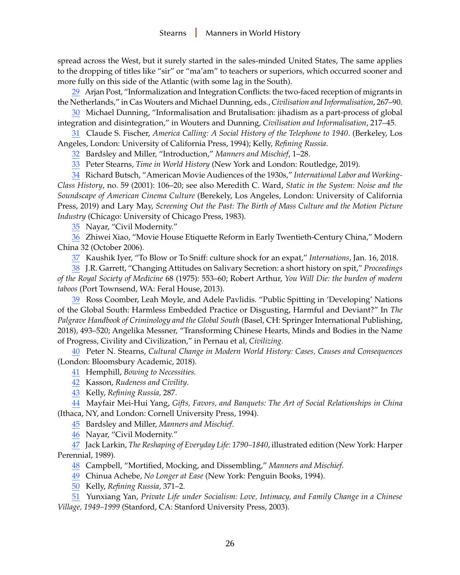<span id="page-25-0"></span>spread across the West, but it surely started in the sales-minded United States, The same applies to the dropping of titles like "sir" or "ma'am" to teachers or superiors, which occurred sooner and more fully on this side of the Atlantic (with some lag in the South).

[29](#page-8-0) Arjan Post, "Informalization and Integration Conflicts: the two-faced reception of migrants in the Netherlands," in Cas Wouters and Michael Dunning, eds., *Civilisation and Informalisation*, 267–90.

[30](#page-9-0) Michael Dunning, "Informalisation and Brutalisation: jihadism as a part-process of global integration and disintegration," in Wouters and Dunning, *Civilisation and Informalisation*, 217–45.

[31](#page-10-0) Claude S. Fischer, *America Calling: A Social History of the Telephone to 1940*. (Berkeley, Los Angeles, London: University of California Press, 1994); Kelly, *Refining Russia*.

[32](#page-10-0) Bardsley and Miller, "Introduction," *Manners and Mischief*, 1–28.

[33](#page-10-0) Peter Stearns, *Time in World History* (New York and London: Routledge, 2019).

[34](#page-10-0) Richard Butsch, "American Movie Audiences of the 1930s," *International Labor and Working-Class History*, no. 59 (2001): 106–20; see also Meredith C. Ward, *Static in the System: Noise and the Soundscape of American Cinema Culture* (Berekely, Los Angeles, London: University of California Press, 2019) and Lary May, *Screening Out the Past: The Birth of Mass Culture and the Motion Picture Industry* (Chicago: University of Chicago Press, 1983).

[35](#page-11-0) Nayar, "Civil Modernity."

[36](#page-11-0) Zhiwei Xiao, "Movie House Etiquette Reform in Early Twentieth-Century China," Modern China 32 (October 2006).

[37](#page-12-0) Kaushik Iyer, "To Blow or To Sniff: culture shock for an expat," *Internations*, Jan. 16, 2018.

[38](#page-13-0) J.R. Garrett, "Changing Attitudes on Salivary Secretion: a short history on spit," *Proceedings of the Royal Society of Medicine* 68 (1975): 553–60; Robert Arthur, *You Will Die: the burden of modern taboos* (Port Townsend, WA: Feral House, 2013).

[39](#page-13-0) Ross Coomber, Leah Moyle, and Adele Pavlidis. "Public Spitting in 'Developing' Nations of the Global South: Harmless Embedded Practice or Disgusting, Harmful and Deviant?" In *The Palgrave Handbook of Criminology and the Global South* (Basel, CH: Springer International Publishing, 2018), 493–520; Angelika Messner, "Transforming Chinese Hearts, Minds and Bodies in the Name of Progress, Civility and Civilization," in Pernau et al, *Civilizing.*

[40](#page-14-0) Peter N. Stearns, *Cultural Change in Modern World History: Cases, Causes and Consequences* (London: Bloomsbury Academic, 2018).

[41](#page-14-0) Hemphill, *Bowing to Necessities.*

[42](#page-15-0) Kasson, *Rudeness and Civility*.

[43](#page-15-0) Kelly, *Refining Russia,* 287.

[44](#page-15-0) Mayfair Mei-Hui Yang, *Gifts, Favors, and Banquets: The Art of Social Relationships in China* (Ithaca, NY, and London: Cornell University Press, 1994).

[45](#page-16-0) Bardsley and Miller, *Manners and Mischief*.

[46](#page-16-0) Nayar, "Civil Modernity."

[47](#page-16-0) Jack Larkin, *The Reshaping of Everyday Life: 1790–1840*, illustrated edition (New York: Harper Perennial, 1989).

[48](#page-17-0) Campbell, "Mortified, Mocking, and Dissembling," *Manners and Mischief*.

[49](#page-17-0) Chinua Achebe, *No Longer at Ease* (New York: Penguin Books, 1994).

[50](#page-17-0) Kelly, *Refining Russia*, 371–2.

[51](#page-17-0) Yunxiang Yan, *Private Life under Socialism: Love, Intimacy, and Family Change in a Chinese Village, 1949–1999* (Stanford, CA: Stanford University Press, 2003).